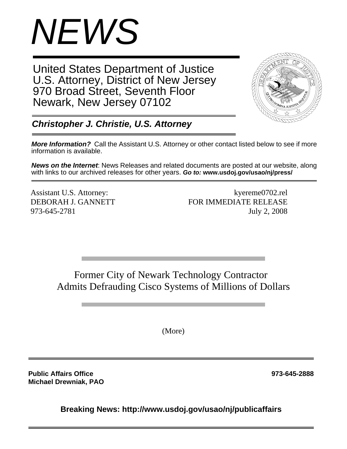

United States Department of Justice U.S. Attorney, District of New Jersey 970 Broad Street, Seventh Floor Newark, New Jersey 07102



*Christopher J. Christie, U.S. Attorney*

*More Information?* Call the Assistant U.S. Attorney or other contact listed below to see if more information is available.

*News on the Internet*: News Releases and related documents are posted at our website, along with links to our archived releases for other years. *Go to:* **www.usdoj.gov/usao/nj/press/**

Assistant U.S. Attorney: kyereme0702.rel DEBORAH J. GANNETT FOR IMMEDIATE RELEASE 973-645-2781 July 2, 2008

Former City of Newark Technology Contractor Admits Defrauding Cisco Systems of Millions of Dollars

(More)

**Public Affairs Office 973-645-2888 Michael Drewniak, PAO**

**Breaking News: http://www.usdoj.gov/usao/nj/publicaffairs**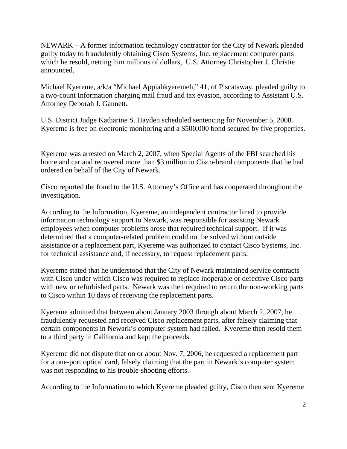NEWARK – A former information technology contractor for the City of Newark pleaded guilty today to fraudulently obtaining Cisco Systems, Inc. replacement computer parts which he resold, netting him millions of dollars, U.S. Attorney Christopher J. Christie announced.

Michael Kyereme, a/k/a "Michael Appiahkyeremeh," 41, of Piscataway, pleaded guilty to a two-count Information charging mail fraud and tax evasion, according to Assistant U.S. Attorney Deborah J. Gannett.

U.S. District Judge Katharine S. Hayden scheduled sentencing for November 5, 2008. Kyereme is free on electronic monitoring and a \$500,000 bond secured by five properties.

Kyereme was arrested on March 2, 2007, when Special Agents of the FBI searched his home and car and recovered more than \$3 million in Cisco-brand components that he had ordered on behalf of the City of Newark.

Cisco reported the fraud to the U.S. Attorney's Office and has cooperated throughout the investigation.

According to the Information, Kyereme, an independent contractor hired to provide information technology support to Newark, was responsible for assisting Newark employees when computer problems arose that required technical support. If it was determined that a computer-related problem could not be solved without outside assistance or a replacement part, Kyereme was authorized to contact Cisco Systems, Inc. for technical assistance and, if necessary, to request replacement parts.

Kyereme stated that he understood that the City of Newark maintained service contracts with Cisco under which Cisco was required to replace inoperable or defective Cisco parts with new or refurbished parts. Newark was then required to return the non-working parts to Cisco within 10 days of receiving the replacement parts.

Kyereme admitted that between about January 2003 through about March 2, 2007, he fraudulently requested and received Cisco replacement parts, after falsely claiming that certain components in Newark's computer system had failed. Kyereme then resold them to a third party in California and kept the proceeds.

Kyereme did not dispute that on or about Nov. 7, 2006, he requested a replacement part for a one-port optical card, falsely claiming that the part in Newark's computer system was not responding to his trouble-shooting efforts.

According to the Information to which Kyereme pleaded guilty, Cisco then sent Kyereme